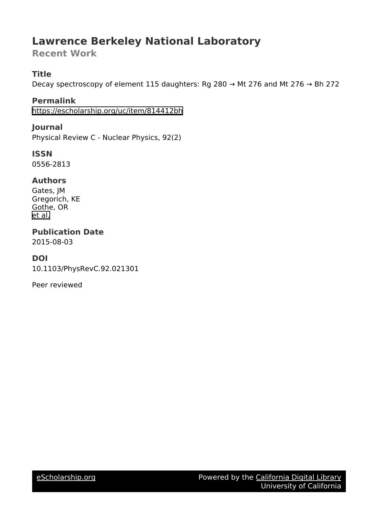# **Lawrence Berkeley National Laboratory**

**Recent Work**

# **Title**

Decay spectroscopy of element 115 daughters: Rg 280 → Mt 276 and Mt 276 → Bh 272

**Permalink** <https://escholarship.org/uc/item/814412bh>

**Journal** Physical Review C - Nuclear Physics, 92(2)

**ISSN** 0556-2813

## **Authors**

Gates, JM Gregorich, KE Gothe, OR [et al.](https://escholarship.org/uc/item/814412bh#author)

**Publication Date** 2015-08-03

# **DOI**

10.1103/PhysRevC.92.021301

Peer reviewed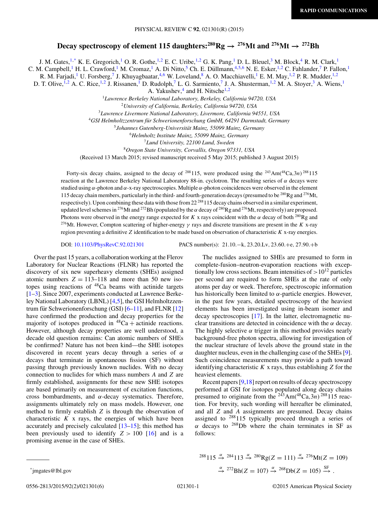### **Decay spectroscopy of element 115 daughters:**  $^{280}$ **Rg**  $\rightarrow$   $^{276}$ Mt and  $^{276}$ Mt  $\rightarrow$   $^{272}$ Bh

J. M. Gates,<sup>1,\*</sup> K. E. Gregorich,<sup>1</sup> O. R. Gothe,<sup>1,2</sup> E. C. Uribe,<sup>1,2</sup> G. K. Pang,<sup>1</sup> D. L. Bleuel,<sup>3</sup> M. Block,<sup>4</sup> R. M. Clark,<sup>1</sup>

C. M. Campbell,<sup>1</sup> H. L. Crawford,<sup>1</sup> M. Cromaz,<sup>1</sup> A. Di Nitto,<sup>5</sup> Ch. E. Düllmann, <sup>4,5,6</sup> N. E. Esker, <sup>1,2</sup> C. Fahlander,<sup>7</sup> P. Fallon,<sup>1</sup>

R. M. Farjadi,<sup>1</sup> U. Forsberg,<sup>7</sup> J. Khuyagbaatar,<sup>4,6</sup> W. Loveland,<sup>8</sup> A. O. Macchiavelli,<sup>1</sup> E. M. May,<sup>1,2</sup> P. R. Mudder,<sup>1,2</sup>

D. T. Olive, <sup>1,2</sup> A. C. Rice, <sup>1,2</sup> J. Rissanen, <sup>1</sup> D. Rudolph, <sup>7</sup> L. G. Sarmiento, <sup>7</sup> J. A. Shusterman, <sup>1,2</sup> M. A. Stoyer, <sup>3</sup> A. Wiens, <sup>1</sup>

A. Yakushev, $4$  and H. Nitsche<sup>1,2</sup>

<sup>1</sup>*Lawrence Berkeley National Laboratory, Berkeley, California 94720, USA*

<sup>2</sup>*University of California, Berkeley, California 94720, USA*

<sup>3</sup>*Lawrence Livermore National Laboratory, Livermore, California 94551, USA*

<sup>4</sup>*GSI Helmholtzzentrum fur Schwerionenforschung GmbH, 64291 Darmstadt, Germany ¨*

<sup>5</sup>*Johannes Gutenberg-Universitat Mainz, 55099 Mainz, Germany ¨*

<sup>6</sup>*Helmholtz Institute Mainz, 55099 Mainz, Germany*

<sup>7</sup>*Lund University, 22100 Lund, Sweden*

<sup>8</sup>*Oregon State University, Corvallis, Oregon 97331, USA*

(Received 13 March 2015; revised manuscript received 5 May 2015; published 3 August 2015)

Forty-six decay chains, assigned to the decay of <sup>288</sup>115, were produced using the <sup>243</sup>Am(<sup>48</sup>Ca,3n)<sup>288</sup>115 reaction at the Lawrence Berkeley National Laboratory 88-in. cyclotron. The resulting series of  $\alpha$  decays were studied using  $\alpha$ -photon and  $\alpha$ -x-ray spectroscopies. Multiple  $\alpha$ -photon coincidences were observed in the element 115 decay chain members, particularly in the third- and fourth-generation decays (presumed to be  $^{280}$ Rg and  $^{276}$ Mt, respectively). Upon combining these data with those from  $22^{288}$  115 decay chains observed in a similar experiment, updated level schemes in <sup>276</sup>Mt and <sup>272</sup>Bh (populated by the  $\alpha$  decay of <sup>280</sup>Rg and <sup>276</sup>Mt, respectively) are proposed. Photons were observed in the energy range expected for K x rays coincident with the  $\alpha$  decay of both <sup>280</sup>Rg and <sup>276</sup>Mt. However, Compton scattering of higher-energy  $\gamma$  rays and discrete transitions are present in the K x-ray region preventing a definitive  $Z$  identification to be made based on observation of characteristic  $K$  x-ray energies.

DOI: [10.1103/PhysRevC.92.021301](http://dx.doi.org/10.1103/PhysRevC.92.021301) PACS number(s): 21.10.−k, 23.20.Lv, 23.60.+e, 27.90.+b

Over the past 15 years, a collaboration working at the Flerov Laboratory for Nuclear Reactions (FLNR) has reported the discovery of six new superheavy elements (SHEs) assigned atomic numbers  $Z = 113-118$  and more than 50 new isotopes using reactions of  $48$ Ca beams with actinide targets [\[1–3\]](#page-6-0). Since 2007, experiments conducted at Lawrence Berkeley National Laboratory (LBNL) [\[4,5\]](#page-6-0), the GSI Helmholtzzentrum für Schwerionenforschung (GSI)  $[6-11]$ , and FLNR  $[12]$ have confirmed the production and decay properties for the majority of isotopes produced in  ${}^{48}Ca +$  actinide reactions. However, although decay properties are well understood, a decade old question remains: Can atomic numbers of SHEs be confirmed? Nature has not been kind—the SHE isotopes discovered in recent years decay through a series of  $\alpha$ decays that terminate in spontaneous fission (SF) without passing through previously known nuclides. With no decay connection to nuclides for which mass numbers A and Z are firmly established, assignments for these new SHE isotopes are based primarily on measurement of excitation functions, cross bombardments, and  $\alpha$ -decay systematics. Therefore, assignments ultimately rely on mass models. However, one method to firmly establish Z is through the observation of characteristic  $K$  x rays, the energies of which have been accurately and precisely calculated  $[13–15]$ ; this method has been previously used to identify  $Z > 100$  [\[16\]](#page-6-0) and is a promising avenue in the case of SHEs.

The nuclides assigned to SHEs are presumed to form in complete-fusion–neutron-evaporation reactions with exceptionally low cross sections. Beam intensities of  $>10^{12}$  particles per second are required to form SHEs at the rate of only atoms per day or week. Therefore, spectroscopic information has historically been limited to  $\alpha$ -particle energies. However, in the past few years, detailed spectroscopy of the heaviest elements has been investigated using in-beam isomer and decay spectroscopies [\[17\]](#page-6-0). In the latter, electromagnetic nuclear transitions are detected in coincidence with the  $\alpha$  decay. The highly selective  $\alpha$  trigger in this method provides nearly background-free photon spectra, allowing for investigation of the nuclear structure of levels above the ground state in the daughter nucleus, even in the challenging case of the SHEs [\[9\]](#page-6-0). Such coincidence measurements may provide a path toward identifying characteristic  $K$  x rays, thus establishing  $Z$  for the heaviest elements.

Recent papers [\[9,18\]](#page-6-0) report on results of decay spectroscopy performed at GSI for isotopes populated along decay chains presumed to originate from the  $243$ Am( $48$ Ca,3n) $288115$  reaction. For brevity, such wording will hereafter be eliminated, and all Z and A assignments are presumed. Decay chains assigned to  $288115$  typically proceed through a series of  $\alpha$  decays to <sup>268</sup>Db where the chain terminates in SF as follows:

 $^{288}115 \stackrel{\alpha}{\rightarrow} ^{284}113 \stackrel{\alpha}{\rightarrow} ^{280}$ Rg(Z = 111)  $\stackrel{\alpha}{\rightarrow} ^{276}$ Mt(Z = 109)  $\stackrel{\alpha}{\rightarrow}$  272 Bh(Z = 107)  $\stackrel{\alpha}{\rightarrow}$  268 Db(Z = 105)  $\stackrel{\text{SF}}{\rightarrow}$ .

<sup>\*</sup>jmgates@lbl.gov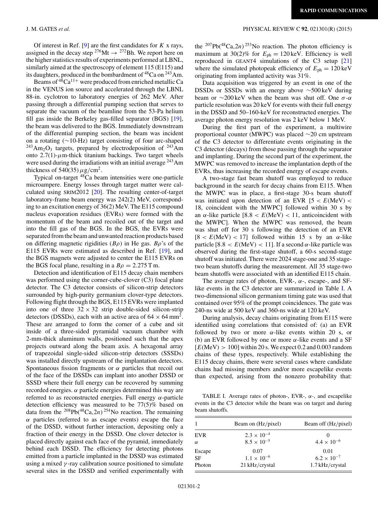Of interest in Ref.  $[9]$  are the first candidates for  $K$  x rays, assigned in the decay step <sup>276</sup>Mt  $\rightarrow$  <sup>272</sup>Bh. We report here on the higher statistics results of experiments performed at LBNL, similarly aimed at the spectroscopy of element 115 (E115) and its daughters, produced in the bombardment of <sup>48</sup>Ca on <sup>243</sup>Am.

Beams of  $48$ Ca<sup>11+</sup> were produced from enriched metallic Ca in the VENUS ion source and accelerated through the LBNL 88-in. cyclotron to laboratory energies of 262 MeV. After passing through a differential pumping section that serves to separate the vacuum of the beamline from the 53-Pa helium fill gas inside the Berkeley gas-filled separator (BGS) [\[19\]](#page-6-0), the beam was delivered to the BGS. Immediately downstream of the differential pumping section, the beam was incident on a rotating (∼10-Hz) target consisting of four arc-shaped  $^{243}Am_2O_3$  targets, prepared by electrodeposition of  $^{243}Am$ onto  $2.7(1)$ - $\mu$ m-thick titanium backings. Two target wheels were used during the irradiations with an initial average <sup>243</sup>Am thickness of 540(35)  $\mu$ g/cm<sup>2</sup>.

Typical on-target <sup>48</sup>Ca beam intensities were one-particle microampere. Energy losses through target matter were calculated using SRIM2012 [\[20\]](#page-6-0). The resulting center-of-target laboratory-frame beam energy was 242(2) MeV, corresponding to an excitation energy of 36(2) MeV. The E115 compound nucleus evaporation residues (EVRs) were formed with the momentum of the beam and recoiled out of the target and into the fill gas of the BGS. In the BGS, the EVRs were separated from the beam and unwanted reaction products based on differing magnetic rigidities  $(B\rho)$  in He gas.  $B\rho$ 's of the E115 EVRs were estimated as described in Ref. [\[19\]](#page-6-0), and the BGS magnets were adjusted to center the E115 EVRs on the BGS focal plane, resulting in a  $B\rho = 2.275$  T m.

Detection and identification of E115 decay chain members was performed using the corner-cube-clover (C3) focal plane detector. The C3 detector consists of silicon-strip detectors surrounded by high-purity germanium clover-type detectors. Following flight through the BGS, E115 EVRs were implanted into one of three  $32 \times 32$  strip double-sided silicon-strip detectors (DSSDs), each with an active area of  $64 \times 64$  mm<sup>2</sup>. These are arranged to form the corner of a cube and sit inside of a three-sided pyramidal vacuum chamber with 2-mm-thick aluminum walls, positioned such that the apex projects outward along the beam axis. A hexagonal array of trapezoidal single-sided silicon-strip detectors (SSSDs) was installed directly upstream of the implantation detectors. Spontaneous fission fragments or  $\alpha$  particles that recoil out of the face of the DSSDs can implant into another DSSD or SSSD where their full energy can be recovered by summing recorded energies.  $\alpha$  particle energies determined this way are referred to as reconstructed energies. Full energy  $\alpha$ -particle detection efficiency was measured to be  $77(5)\%$  based on data from the <sup>208</sup>Pb(<sup>48</sup>Ca,2n)<sup>254</sup>No reaction. The remaining  $\alpha$  particles (referred to as escape events) escape the face of the DSSD, without further interaction, depositing only a fraction of their energy in the DSSD. One clover detector is placed directly against each face of the pyramid, immediately behind each DSSD. The efficiency for detecting photons emitted from a particle implanted in the DSSD was estimated using a mixed  $\gamma$ -ray calibration source positioned to simulate several sites in the DSSD and verified experimentally with

#### J. M. GATES *et al.* PHYSICAL REVIEW C **92**, 021301(R) (2015)

the  $^{207}Pb(^{48}Ca,2n)^{253}No$  reaction. The photon efficiency is maximum at 30(2)% for  $E_{\text{ph}} = 120 \text{ keV}$ . Efficiency is well reproduced in GEANT4 simulations of the C3 setup [\[21\]](#page-6-0) where the simulated photopeak efficiency of  $E_{\text{ph}} = 120 \text{ keV}$ originating from implanted activity was 31%.

Data acquisition was triggered by an event in one of the DSSDs or SSSDs with an energy above ∼500 keV during beam or  $\sim$ 200 keV when the beam was shut off. One  $\sigma$ - $\alpha$ particle resolution was 20 keV for events with their full energy in the DSSD and 50–160-keV for reconstructed energies. The average photon energy resolution was 2 keV below 1 MeV.

During the first part of the experiment, a multiwire proportional counter (MWPC) was placed ∼20 cm upstream of the C3 detector to differentiate events originating in the C3 detector (decays) from those passing through the separator and implanting. During the second part of the experiment, the MWPC was removed to increase the implantation depth of the EVRs, thus increasing the recorded energy of escape events.

A two-stage fast beam shutoff was employed to reduce background in the search for decay chains from E115. When the MWPC was in place, a first-stage 30-s beam shutoff was initiated upon detection of an EVR  $[5 < E(MeV)$  < 18, coincident with the MWPC] followed within 30 s by an  $\alpha$ -like particle [8.8 <  $E(MeV)$  < 11, anticoincident with the MWPC]. When the MWPC was removed, the beam was shut off for 30 s following the detection of an EVR  $[8 < E(MeV) < 17]$  followed within 15 s by an  $\alpha$ -like particle  $[8.8 < E(MeV) < 11]$ . If a second  $\alpha$ -like particle was observed during the first-stage shutoff, a 60-s second-stage shutoff was initiated. There were 2024 stage-one and 35 stagetwo beam shutoffs during the measurement. All 35 stage-two beam shutoffs were associated with an identified E115 chain.

The average rates of photon, EVR-,  $\alpha$ -, escape-, and SFlike events in the C3 detector are summarized in Table I. A two-dimensional silicon germanium timing gate was used that contained over 95% of the prompt coincidences. The gate was 240-ns wide at 500 keV and 360-ns wide at 120 keV.

During analysis, decay chains originating from E115 were identified using correlations that consisted of: (a) an EVR followed by two or more  $\alpha$ -like events within 20 s, or (b) an EVR followed by one or more  $\alpha$ -like events and a SF  $[E(\text{MeV}) > 100]$  within 20 s. We expect 0.2 and 0.003 random chains of these types, respectively. While establishing the E115 decay chains, there were several cases where candidate chains had missing members and/or more escapelike events than expected, arising from the nonzero probability that:

TABLE I. Average rates of photon-, EVR-,  $\alpha$ -, and escapelike events in the C3 detector while the beam was on target and during beam shutoffs.

|            | Beam on (Hz/pixel)   | Beam off (Hz/pixel)  |
|------------|----------------------|----------------------|
| <b>EVR</b> | $2.3 \times 10^{-4}$ |                      |
| $\alpha$   | $8.5 \times 10^{-5}$ | $4.4 \times 10^{-6}$ |
| Escape     | 0.07                 | 0.01                 |
| SF         | $1.1 \times 10^{-6}$ | $6.2 \times 10^{-7}$ |
| Photon     | 21 kHz/crystal       | $1.7$ kHz/crystal    |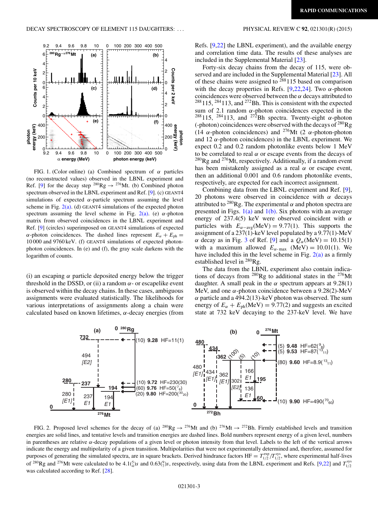<span id="page-3-0"></span>

FIG. 1. (Color online) (a) Combined spectrum of  $\alpha$  particles (no reconstructed values) observed in the LBNL experiment and Ref. [\[9\]](#page-6-0) for the decay step <sup>280</sup>Rg  $\rightarrow$  <sup>276</sup>Mt. (b) Combined photon spectrum observed in the LBNL experiment and Ref. [\[9\]](#page-6-0). (c) GEANT4 simulations of expected  $\alpha$ -particle spectrum assuming the level scheme in Fig.  $2(a)$ . (d) GEANT4 simulations of the expected photon spectrum assuming the level scheme in Fig.  $2(a)$ . (e)  $\alpha$ -photon matrix from observed coincidences in the LBNL experiment and Ref. [\[9\]](#page-6-0) (circles) superimposed on GEANT4 simulations of expected α-photon coincidences. The dashed lines represent  $E_\alpha + E_{\text{ph}} =$ 10 000 and 9760 keV. (f) GEANT4 simulations of expected photonphoton coincidences. In (e) and (f), the gray scale darkens with the logarithm of counts.

(i) an escaping  $\alpha$  particle deposited energy below the trigger threshold in the DSSD, or (ii) a random  $\alpha$ - or escapelike event is observed within the decay chains. In these cases, ambiguous assignments were evaluated statistically. The likelihoods for various interpretations of assignments along a chain were calculated based on known lifetimes,  $\alpha$ -decay energies (from

Refs. [\[9,22\]](#page-6-0) the LBNL experiment), and the available energy and correlation time data. The results of these analyses are included in the Supplemental Material [\[23\]](#page-6-0).

Forty-six decay chains from the decay of 115, were observed and are included in the Supplemental Material [\[23\]](#page-6-0). All of these chains were assigned to  $288115$  based on comparison with the decay properties in Refs. [\[9,22,24\]](#page-6-0). Two  $\alpha$ -photon coincidences were observed between the  $\alpha$  decays attributed to  $288115$ ,  $284113$ , and  $272B$ h. This is consistent with the expected sum of 2.1 random  $\alpha$ -photon coincidences expected in the <sup>288</sup>115, <sup>284</sup>113, and <sup>272</sup>Bh spectra. Twenty-eight  $\alpha$ -photon (-photon) coincidences were observed with the decays of  $^{280}$ Rg (14  $\alpha$ -photon coincidences) and <sup>276</sup>Mt (2  $\alpha$ -photon-photon and 12  $\alpha$ -photon coincidences) in the LBNL experiment. We expect 0.2 and 0.2 random photonlike events below 1 MeV to be correlated to real  $\alpha$  or escape events from the decays of  $^{280}$ Rg and  $^{276}$ Mt, respectively. Additionally, if a random event has been mistakenly assigned as a real  $\alpha$  or escape event, then an additional 0.001 and 0.6 random photonlike events, respectively, are expected for each incorrect assignment.

Combining data from the LBNL experiment and Ref. [\[9\]](#page-6-0), 20 photons were observed in coincidence with  $\alpha$  decays attributed to  $^{280}$ Rg. The experimental  $\alpha$  and photon spectra are presented in Figs.  $1(a)$  and  $1(b)$ . Six photons with an average energy of 237.4(5) keV were observed coincident with  $\alpha$ particles with  $E_{\alpha-\text{avg}}(\text{MeV}) = 9.77(1)$ . This supports the assignment of a 237(1)-keV level populated by a 9.77(1)-MeV  $\alpha$  decay as in Fig. [3](#page-4-0) of Ref. [\[9\]](#page-6-0) and a  $Q_{\alpha}$ (MeV) = 10.15(1) with a maximum allowed  $E_{\alpha-\text{max}}$  (MeV) = 10.01(1). We have included this in the level scheme in Fig.  $2(a)$  as a firmly established level in <sup>280</sup>Rg.

The data from the LBNL experiment also contain indications of decays from  $^{280}$ Rg to additional states in the  $^{276}$ Mt daughter. A small peak in the  $\alpha$  spectrum appears at 9.28(1) MeV, and one  $\alpha$ -photon coincidence between a 9.28(2)-MeV  $\alpha$  particle and a 494.2(13)-keV photon was observed. The sum energy of  $E_{\alpha} + E_{\text{ph}}(\text{MeV}) = 9.77(2)$  and suggests an excited state at 732 keV decaying to the 237-keV level. We have



FIG. 2. Proposed level schemes for the decay of (a) <sup>280</sup>Rg  $\rightarrow$  <sup>276</sup>Mt and (b) <sup>276</sup>Mt  $\rightarrow$  <sup>272</sup>Bh. Firmly established levels and transition energies are solid lines, and tentative levels and transition energies are dashed lines. Bold numbers represent energy of a given level, numbers in parentheses are relative  $\alpha$ -decay populations of a given level or photon intensity from that level. Labels to the left of the vertical arrows indicate the energy and multipolarity of a given transition. Multipolarities that were not experimentally determined and, therefore, assumed for purposes of generating the simulated spectra, are in square brackets. Derived hindrance factors  $HF = T_{1/2}^{\text{exp}}/T_{1/2}^{\text{sys}}$ , where experimental half-lives of <sup>280</sup>Rg and <sup>276</sup>Mt were calculated to be 4.1( $\frac{5}{4}$ )s and 0.63( $\frac{9}{7}$ )s, respectively, using data from the LBNL experiment and Refs. [\[9,22\]](#page-6-0) and  $T_{1/2}^{\text{sys}}$ was calculated according to Ref. [\[28\]](#page-6-0).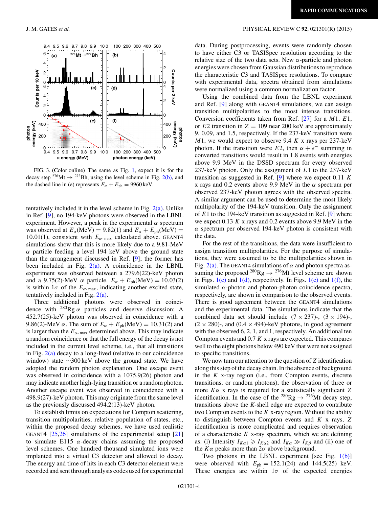

FIG. 3. (Color online) The same as Fig. [1,](#page-3-0) expect it is for the decay step <sup>276</sup>Mt  $\rightarrow$  <sup>272</sup>Bh, using the level scheme in Fig. [2\(b\),](#page-3-0) and the dashed line in (e) represents  $E_{\alpha} + E_{\text{ph}} = 9960 \,\text{keV}$ .

tentatively included it in the level scheme in Fig.  $2(a)$ . Unlike in Ref. [\[9\]](#page-6-0), no 194-keV photons were observed in the LBNL experiment. However, a peak in the experimental  $\alpha$  spectrum was observed at  $E_\alpha$ (MeV) = 9.82(1) and  $E_\alpha + E_{ph}$ (MeV) = 10.01(1), consistent with  $E_{\alpha\text{-max}}$  calculated above. GEANT4 simulations show that this is more likely due to a 9.81-MeV α particle feeding a level 194 keV above the ground state than the arrangement discussed in Ref. [\[9\]](#page-6-0); the former has been included in Fig.  $2(a)$ . A coincidence in the LBNL experiment was observed between a 279.6(22)-keV photon and a 9.75(2)-MeV  $\alpha$  particle.  $E_{\alpha} + E_{ph}$ (MeV) = 10.03(2) is within  $1\sigma$  of the  $E_{\alpha\text{-max}}$ , indicating another excited state, tentatively included in Fig. [2\(a\).](#page-3-0)

Three additional photons were observed in coincidence with  $^{280}$ Rg  $\alpha$  particles and deserve discussion: A 452.7(25)-keV photon was observed in coincidence with a 9.86(2)-MeV  $\alpha$ . The sum of  $E_{\alpha} + E_{\text{ph}}(\text{MeV}) = 10.31(2)$  and is larger than the  $E_{\alpha$ - max determined above. This may indicate a random coincidence or that the full energy of the decay is not included in the current level scheme, i.e., that all transitions in Fig.  $2(a)$  decay to a long-lived (relative to our coincidence window) state ∼300 keV above the ground state. We have adopted the random photon explanation. One escape event was observed in coincidence with a 1075.9(26) photon and may indicate another high-lying transition or a random photon. Another escape event was observed in coincidence with a 498.9(27)-keV photon. This may originate from the same level as the previously discussed 494.2(13)-keV photon.

To establish limits on expectations for Compton scattering, transition multipolarities, relative population of states, etc., within the proposed decay schemes, we have used realistic GEANT4  $[25,26]$  simulations of the experimental setup  $[21]$ to simulate E115  $\alpha$ -decay chains assuming the proposed level schemes. One hundred thousand simulated ions were implanted into a virtual C3 detector and allowed to decay. The energy and time of hits in each C3 detector element were recorded and sent through analysis codes used for experimental

### <span id="page-4-0"></span>J. M. GATES *et al.* PHYSICAL REVIEW C **92**, 021301(R) (2015)

data. During postprocessing, events were randomly chosen to have either C3 or TASISpec resolution according to the relative size of the two data sets. New  $\alpha$ -particle and photon energies were chosen from Gaussian distributions to reproduce the characteristic C3 and TASISpec resolutions. To compare with experimental data, spectra obtained from simulations were normalized using a common normalization factor.

Using the combined data from the LBNL experiment and Ref. [\[9\]](#page-6-0) along with GEANT4 simulations, we can assign transition multipolarities to the most intense transitions. Conversion coefficients taken from Ref.  $[27]$  for a  $M1$ ,  $E1$ , or E2 transition in  $Z = 109$  near 200 keV are approximately 9, 0.09, and 1.5, respectively. If the 237-keV transition were  $M1$ , we would expect to observe 9.4 K x rays per 237-keV photon. If the transition were E2, then  $\alpha + e^-$  summing in converted transitions would result in 1.8 events with energies above 9.9 MeV in the DSSD spectrum for every observed 237-keV photon. Only the assignment of  $E1$  to the 237-keV transition as suggested in Ref. [\[9\]](#page-6-0) where we expect 0.11 K x rays and 0.2 events above 9.9 MeV in the  $\alpha$  spectrum per observed 237-keV photon agrees with the observed spectra. A similar argument can be used to determine the most likely multipolarity of the 194-keV transition. Only the assignment of  $E1$  to the 194-keV transition as suggested in Ref. [\[9\]](#page-6-0) where we expect 0.13  $K$  x rays and 0.2 events above 9.9 MeV in the  $\alpha$  spectrum per observed 194-keV photon is consistent with the data.

For the rest of the transitions, the data were insufficient to assign transition multipolarities. For the purpose of simulations, they were assumed to be the multipolarities shown in Fig. [2\(a\).](#page-3-0) The GEANT4 simulations of  $\alpha$  and photon spectra assuming the proposed <sup>280</sup>Rg  $\rightarrow$  <sup>276</sup>Mt level scheme are shown in Figs.  $1(c)$  and  $1(d)$ , respectively. In Figs.  $1(e)$  and  $1(f)$ , the simulated  $\alpha$ -photon and photon-photon coincidence spectra, respectively, are shown in comparison to the observed events. There is good agreement between the GEANT4 simulations and the experimental data. The simulations indicate that the combined data set should include  $(7 \times 237)$ -,  $(3 \times 194)$ -,  $(2 \times 280)$ -, and  $(0.4 \times 494)$ -keV photons, in good agreement with the observed 6, 2, 1, and 1, respectively. An additional ten Compton events and  $0.7 K$  x rays are expected. This compares well to the eight photons below 490 keV that were not assigned to specific transitions.

We now turn our attention to the question of  $Z$  identification along this step of the decay chain. In the absence of background in the  $K$  x-ray region (i.e., from Compton events, discrete transitions, or random photons), the observation of three or more  $K\alpha$  x rays is required for a statistically significant Z identification. In the case of the <sup>280</sup>Rg  $\rightarrow$  <sup>276</sup>Mt decay step, transitions above the *K*-shell edge are expected to contribute two Compton events to the  $K$  x-ray region. Without the ability to distinguish between Compton events and  $K$  x rays,  $Z$ identification is more complicated and requires observation of a characteristic  $K$  x-ray spectrum, which we are defining as: (i) Intensity  $I_{K\alpha 1} \ge I_{K\alpha 2}$  and  $I_{K\alpha} \gg I_{K\beta}$  and (ii) one of the  $K\alpha$  peaks more than  $2\sigma$  above background.

Two photons in the LBNL experiment [see Fig.  $1(b)$ ] were observed with  $E_{ph} = 152.1(24)$  and 144.5(25) keV. These energies are within  $1\sigma$  of the expected energies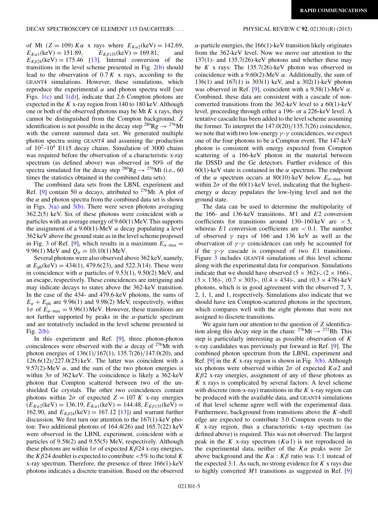of Mt (Z = 109)  $K\alpha$  x rays where  $E_{K\alpha 2}$ (keV) = 142.69,<br>  $E_{K\alpha 1}$ (keV) = 151.89,  $E_{K\beta 135}$ (keV) = 169.81, and  $E_{K\beta 135}(\text{keV}) = 169.81,$  $E_{K\beta 24}$ (keV) = 175.46 [\[13\]](#page-6-0). Internal conversion of the transitions in the level scheme presented in Fig.  $2(b)$  should lead to the observation of  $0.7 K$  x rays, according to the GEANT4 simulations. However, these simulations, which reproduce the experimental  $\alpha$  and photon spectra well [see Figs.  $1(c)$  and  $1(d)$ ], indicate that 2.6 Compton photons are expected in the  $K$  x-ray region from 140 to 180 keV. Although one or both of the observed photons may be Mt  $K$  x rays, they cannot be distinguished from the Compton background. Z identification is not possible in the decay step <sup>280</sup>Rg  $\rightarrow$  <sup>276</sup>Mt with the current summed data set. We generated multiple photon spectra using GEANT4 and assuming the production of  $10^2$ – $10^4$  E115 decay chains. Simulation of 3000 chains was required before the observation of a characteristic x-ray spectrum (as defined above) was observed in 50% of the spectra simulated for the decay step <sup>280</sup>Rg  $\rightarrow$  <sup>276</sup>Mt (i.e., 60) times the statistics obtained in the combined data sets).

The combined data sets from the LBNL experiment and Ref. [\[9\]](#page-6-0) contain 50  $\alpha$  decays, attributed to <sup>276</sup>Mt. A plot of the  $\alpha$  and photon spectra from the combined data set is shown in Figs.  $3(a)$  and  $3(b)$ . There were seven photons averaging 362.2(5) keV. Six of these photons were coincident with  $\alpha$ particles with an average energy of 9.60(1) MeV. This supports the assignment of a 9.60(1)-MeV  $\alpha$  decay populating a level 362 keV above the ground state as in the level scheme proposed in Fig. [3](#page-4-0) of Ref. [\[9\]](#page-6-0), which results in a maximum  $E_{\alpha-\text{max}} =$ 9.96(1) MeV and  $Q_{\alpha} = 10.10(1)$  MeV.

Several photons were also observed above 362 keV, namely, at  $E_{\text{ph}}(\text{keV}) = 434(1)$ , 479.6(23), and 522.3(14). These were in coincidence with  $\alpha$  particles of 9.53(1), 9.50(2) MeV, and an escape, respectively. These coincidences are intriguing and may indicate decays to states above the 362-keV transition. In the case of the 434- and 479.6-keV photons, the sums of  $E_{\alpha} + E_{\text{ph}}$  are 9.96(1) and 9.98(2) MeV, respectively, within  $1\sigma$  of  $E_{\alpha$ -max = 9.96(1) MeV. However, these transitions are not further supported by peaks in the  $\alpha$ -particle spectrum and are tentatively included in the level scheme presented in Fig. [2\(b\).](#page-3-0)

In this experiment and Ref. [\[9\]](#page-6-0), three photon-photon coincidences were observed with the  $\alpha$  decay of <sup>276</sup>Mt with photon energies of 136(1)/167(1), 135.7(26)/147.0(20), and  $126.6(12)/227.0(25)$  keV. The latter was coincident with a 9.57(2)-MeV  $\alpha$ , and the sum of the two photon energies is within  $3\sigma$  of  $362 \text{ keV}$ . The coincidence is likely a  $362 \text{ keV}$ photon that Compton scattered between two of the unshielded Ge crystals. The other two coincidences contain photons within  $2\sigma$  of expected  $Z = 107 K$  x-ray energies  $(E_{K\alpha2}$ (keV) = 136.19,  $E_{K\alpha1}$ (keV) = 144.48,  $E_{K\beta135}$ (keV) = 162.90, and  $E_{K\beta 24}$ (keV) = 167.12 [\[13\]](#page-6-0)) and warrant further discussion. We first turn our attention to the 167(1)-keV photon: Two additional photons of 164.4(26) and 165.7(22) keV were observed in the LBNL experiment, coincident with  $\alpha$ particles of 9.58(2) and 9.55(5) MeV, respectively. Although these photons are within  $1\sigma$  of expected  $K\beta$ 24 x-ray energies, the  $K\beta$ 24 doublet is expected to contribute <5% to the total K x-ray spectrum. Therefore, the presence of three 166(1)-keV photons indicates a discrete transition. Based on the observed  $\alpha$ -particle energies, the 166(1)-keV transition likely originates from the 362-keV level. Now we move our attention to the 137(1)- and 135.7(26)-keV photons and whether these may be K x rays: The  $135.7(26)$ -keV photon was observed in coincidence with a 9.60(2)-MeV  $\alpha$ . Additionally, the sum of 136(1) and 167(1) is 303(1) keV, and a 302(1)-keV photon was observed in Ref. [\[9\]](#page-6-0), coincident with a 9.58(1)-MeV  $\alpha$ . Combined, these data are consistent with a cascade of nonconverted transitions from the 362-keV level to a 60(1)-keV level, proceeding through either a 196- or a 226-keV level. A tentative cascade has been added to the level scheme assuming the former. To interpret the 147.0(20)/135.7(26) coincidence, we note that with two low-energy  $\gamma$ - $\gamma$  coincidences, we expect one of the four photons to be a Compton event. The 147-keV photon is consistent with energy expected from Compton scattering of a 166-keV photon in the material between the DSSD and the Ge detectors. Further evidence of this 60(1)-keV state is contained in the  $\alpha$  spectrum. The endpoint of the  $\alpha$  spectrum occurs at 80(10)-keV below  $E_{\alpha$ -max but within  $2\sigma$  of the 60(1)-keV level, indicating that the highestenergy  $\alpha$  decay populates the low-lying level and not the ground state.

The data can be used to determine the multipolarity of the 166- and 136-keV transitions.  $M1$  and  $E2$  conversion coefficients for transitions around  $130-160 \,\text{keV}$  are  $> 5$ , whereas  $E1$  conversion coefficients are  $< 0.1$ . The number of observed  $\gamma$  rays of 166 and 136 keV as well as the observation of  $\gamma$ - $\gamma$  coincidences can only be accounted for if the  $\gamma$ - $\gamma$  cascade is composed of two E1 transitions. Figure [3](#page-4-0) includes GEANT4 simulations of this level scheme along with the experimental data for comparison. Simulations indicate that we should have observed  $(5 \times 362)$ -,  $(2 \times 166)$ -,  $(3 \times 136)$ -,  $(0.7 \times 303)$ -,  $(0.4 \times 434)$ -, and  $(0.3 \times 478)$ -keV photons, which is in good agreement with the observed 7, 3, 2, 1, 1, and 1, respectively. Simulations also indicate that we should have ten Compton-scattered photons in the spectrum, which compares well with the eight photons that were not assigned to discrete transitions.

We again turn our attention to the question of Z identification along this decay step in the chain:  $276$ Mt  $\rightarrow$   $272$ Bh. This step is particularly interesting as possible observation of  $K$ x-ray candidates was previously put forward in Ref. [\[9\]](#page-6-0). The combined photon spectrum from the LBNL experiment and Ref. [\[9\]](#page-6-0) in the K x-ray region is shown in Fig.  $3(b)$ . Although six photons were observed within  $2\sigma$  of expected  $K\alpha$ 2 and  $K\beta$ 2 x-ray energies, assignment of any of these photons as  $K$  x rays is complicated by several factors: A level scheme with discrete (non-x-ray) transitions in the  $K$  x-ray region can be produced with the available data, and GEANT4 simulations of that level scheme agree well with the experimental data. Furthermore, background from transitions above the  $K$ -shell edge are expected to contribute 3.0 Compton events to the  $K$  x-ray region, thus a characteristic x-ray spectrum (as defined above) is required. This was not observed: The largest peak in the K x-ray spectrum  $(K\alpha 1)$  is not reproduced in the experimental data, neither of the  $K\alpha$  peaks were  $2\sigma$ above background and the  $K\alpha$  :  $K\beta$  ratio was 1:1 instead of the expected 3:1. As such, no strong evidence for  $K$  x rays due to highly converted  $M1$  transitions as suggested in Ref. [\[9\]](#page-6-0)